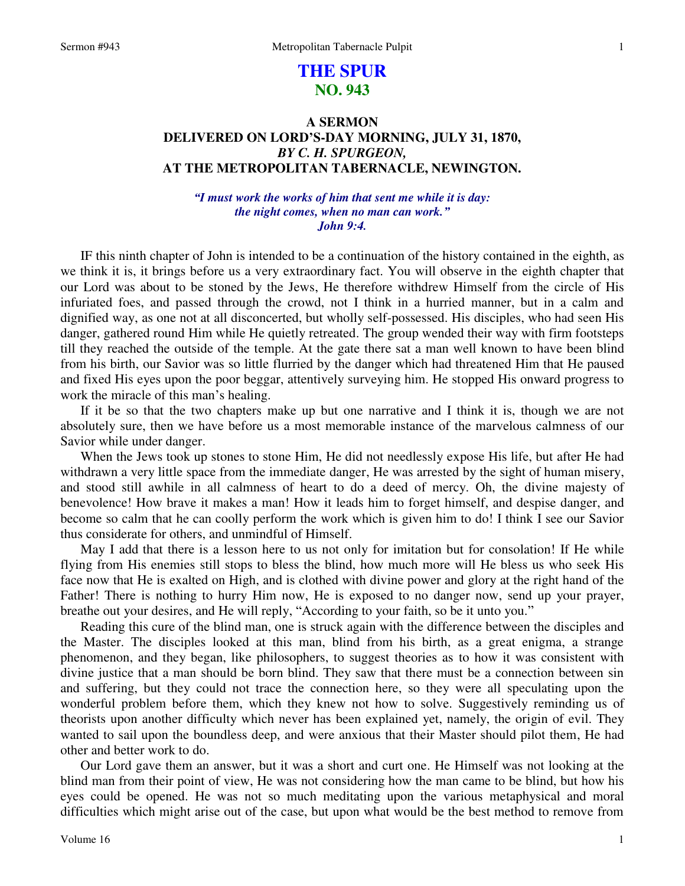# **THE SPUR NO. 943**

# **A SERMON DELIVERED ON LORD'S-DAY MORNING, JULY 31, 1870,**  *BY C. H. SPURGEON,*  **AT THE METROPOLITAN TABERNACLE, NEWINGTON.**

### *"I must work the works of him that sent me while it is day: the night comes, when no man can work." John 9:4.*

IF this ninth chapter of John is intended to be a continuation of the history contained in the eighth, as we think it is, it brings before us a very extraordinary fact. You will observe in the eighth chapter that our Lord was about to be stoned by the Jews, He therefore withdrew Himself from the circle of His infuriated foes, and passed through the crowd, not I think in a hurried manner, but in a calm and dignified way, as one not at all disconcerted, but wholly self-possessed. His disciples, who had seen His danger, gathered round Him while He quietly retreated. The group wended their way with firm footsteps till they reached the outside of the temple. At the gate there sat a man well known to have been blind from his birth, our Savior was so little flurried by the danger which had threatened Him that He paused and fixed His eyes upon the poor beggar, attentively surveying him. He stopped His onward progress to work the miracle of this man's healing.

If it be so that the two chapters make up but one narrative and I think it is, though we are not absolutely sure, then we have before us a most memorable instance of the marvelous calmness of our Savior while under danger.

When the Jews took up stones to stone Him, He did not needlessly expose His life, but after He had withdrawn a very little space from the immediate danger, He was arrested by the sight of human misery, and stood still awhile in all calmness of heart to do a deed of mercy. Oh, the divine majesty of benevolence! How brave it makes a man! How it leads him to forget himself, and despise danger, and become so calm that he can coolly perform the work which is given him to do! I think I see our Savior thus considerate for others, and unmindful of Himself.

May I add that there is a lesson here to us not only for imitation but for consolation! If He while flying from His enemies still stops to bless the blind, how much more will He bless us who seek His face now that He is exalted on High, and is clothed with divine power and glory at the right hand of the Father! There is nothing to hurry Him now, He is exposed to no danger now, send up your prayer, breathe out your desires, and He will reply, "According to your faith, so be it unto you."

Reading this cure of the blind man, one is struck again with the difference between the disciples and the Master. The disciples looked at this man, blind from his birth, as a great enigma, a strange phenomenon, and they began, like philosophers, to suggest theories as to how it was consistent with divine justice that a man should be born blind. They saw that there must be a connection between sin and suffering, but they could not trace the connection here, so they were all speculating upon the wonderful problem before them, which they knew not how to solve. Suggestively reminding us of theorists upon another difficulty which never has been explained yet, namely, the origin of evil. They wanted to sail upon the boundless deep, and were anxious that their Master should pilot them, He had other and better work to do.

Our Lord gave them an answer, but it was a short and curt one. He Himself was not looking at the blind man from their point of view, He was not considering how the man came to be blind, but how his eyes could be opened. He was not so much meditating upon the various metaphysical and moral difficulties which might arise out of the case, but upon what would be the best method to remove from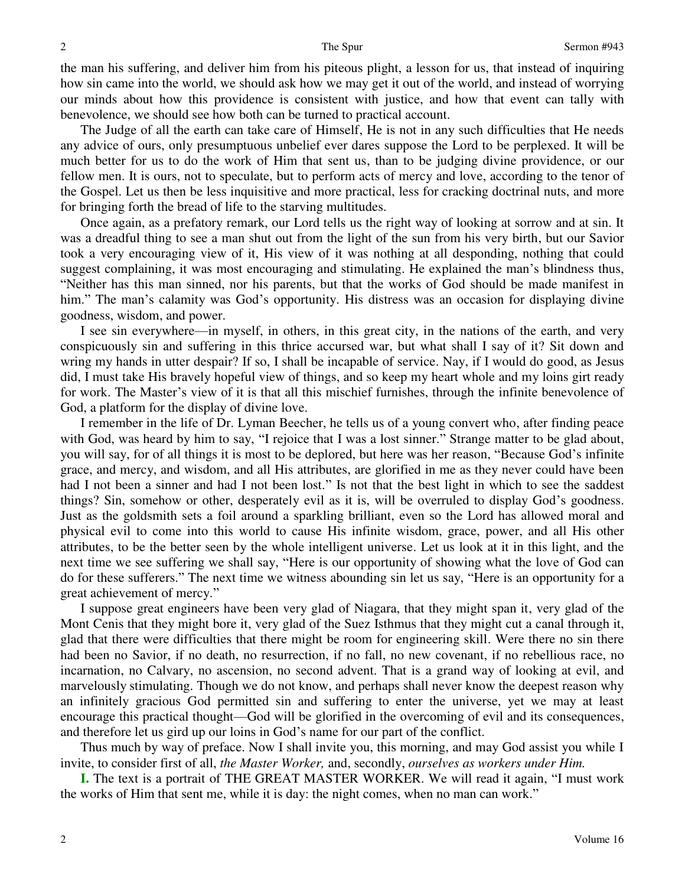the man his suffering, and deliver him from his piteous plight, a lesson for us, that instead of inquiring how sin came into the world, we should ask how we may get it out of the world, and instead of worrying our minds about how this providence is consistent with justice, and how that event can tally with benevolence, we should see how both can be turned to practical account.

The Judge of all the earth can take care of Himself, He is not in any such difficulties that He needs any advice of ours, only presumptuous unbelief ever dares suppose the Lord to be perplexed. It will be much better for us to do the work of Him that sent us, than to be judging divine providence, or our fellow men. It is ours, not to speculate, but to perform acts of mercy and love, according to the tenor of the Gospel. Let us then be less inquisitive and more practical, less for cracking doctrinal nuts, and more for bringing forth the bread of life to the starving multitudes.

Once again, as a prefatory remark, our Lord tells us the right way of looking at sorrow and at sin. It was a dreadful thing to see a man shut out from the light of the sun from his very birth, but our Savior took a very encouraging view of it, His view of it was nothing at all desponding, nothing that could suggest complaining, it was most encouraging and stimulating. He explained the man's blindness thus, "Neither has this man sinned, nor his parents, but that the works of God should be made manifest in him." The man's calamity was God's opportunity. His distress was an occasion for displaying divine goodness, wisdom, and power.

I see sin everywhere—in myself, in others, in this great city, in the nations of the earth, and very conspicuously sin and suffering in this thrice accursed war, but what shall I say of it? Sit down and wring my hands in utter despair? If so, I shall be incapable of service. Nay, if I would do good, as Jesus did, I must take His bravely hopeful view of things, and so keep my heart whole and my loins girt ready for work. The Master's view of it is that all this mischief furnishes, through the infinite benevolence of God, a platform for the display of divine love.

I remember in the life of Dr. Lyman Beecher, he tells us of a young convert who, after finding peace with God, was heard by him to say, "I rejoice that I was a lost sinner." Strange matter to be glad about, you will say, for of all things it is most to be deplored, but here was her reason, "Because God's infinite grace, and mercy, and wisdom, and all His attributes, are glorified in me as they never could have been had I not been a sinner and had I not been lost." Is not that the best light in which to see the saddest things? Sin, somehow or other, desperately evil as it is, will be overruled to display God's goodness. Just as the goldsmith sets a foil around a sparkling brilliant, even so the Lord has allowed moral and physical evil to come into this world to cause His infinite wisdom, grace, power, and all His other attributes, to be the better seen by the whole intelligent universe. Let us look at it in this light, and the next time we see suffering we shall say, "Here is our opportunity of showing what the love of God can do for these sufferers." The next time we witness abounding sin let us say, "Here is an opportunity for a great achievement of mercy."

I suppose great engineers have been very glad of Niagara, that they might span it, very glad of the Mont Cenis that they might bore it, very glad of the Suez Isthmus that they might cut a canal through it, glad that there were difficulties that there might be room for engineering skill. Were there no sin there had been no Savior, if no death, no resurrection, if no fall, no new covenant, if no rebellious race, no incarnation, no Calvary, no ascension, no second advent. That is a grand way of looking at evil, and marvelously stimulating. Though we do not know, and perhaps shall never know the deepest reason why an infinitely gracious God permitted sin and suffering to enter the universe, yet we may at least encourage this practical thought—God will be glorified in the overcoming of evil and its consequences, and therefore let us gird up our loins in God's name for our part of the conflict.

Thus much by way of preface. Now I shall invite you, this morning, and may God assist you while I invite, to consider first of all, *the Master Worker,* and, secondly, *ourselves as workers under Him.*

**I.** The text is a portrait of THE GREAT MASTER WORKER. We will read it again, "I must work the works of Him that sent me, while it is day: the night comes, when no man can work."

2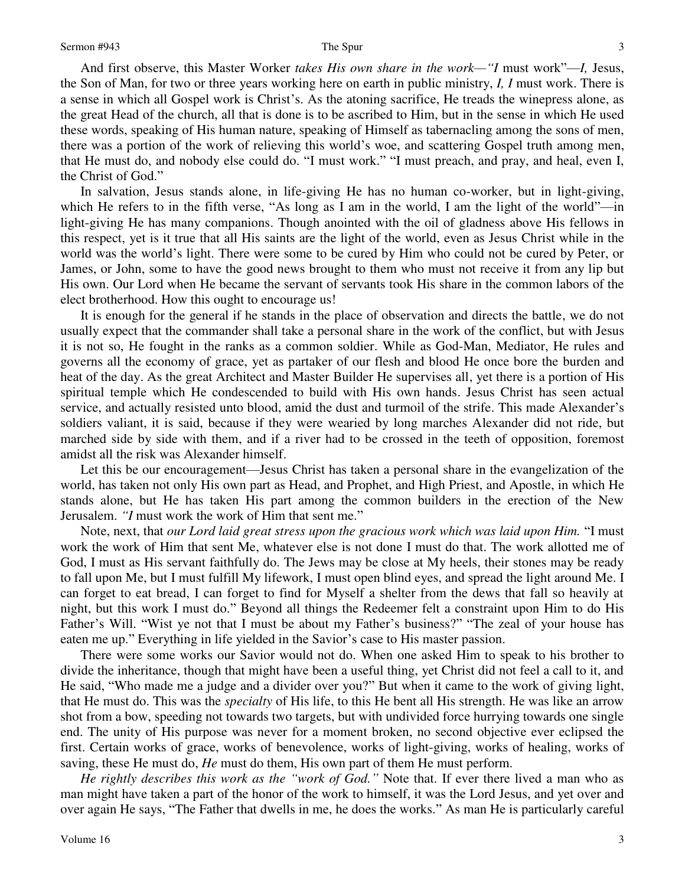And first observe, this Master Worker *takes His own share in the work—"I* must work"—*I,* Jesus, the Son of Man, for two or three years working here on earth in public ministry, *I, I* must work. There is a sense in which all Gospel work is Christ's. As the atoning sacrifice, He treads the winepress alone, as the great Head of the church, all that is done is to be ascribed to Him, but in the sense in which He used these words, speaking of His human nature, speaking of Himself as tabernacling among the sons of men, there was a portion of the work of relieving this world's woe, and scattering Gospel truth among men, that He must do, and nobody else could do. "I must work." "I must preach, and pray, and heal, even I, the Christ of God."

In salvation, Jesus stands alone, in life-giving He has no human co-worker, but in light-giving, which He refers to in the fifth verse, "As long as I am in the world, I am the light of the world"—in light-giving He has many companions. Though anointed with the oil of gladness above His fellows in this respect, yet is it true that all His saints are the light of the world, even as Jesus Christ while in the world was the world's light. There were some to be cured by Him who could not be cured by Peter, or James, or John, some to have the good news brought to them who must not receive it from any lip but His own. Our Lord when He became the servant of servants took His share in the common labors of the elect brotherhood. How this ought to encourage us!

It is enough for the general if he stands in the place of observation and directs the battle, we do not usually expect that the commander shall take a personal share in the work of the conflict, but with Jesus it is not so, He fought in the ranks as a common soldier. While as God-Man, Mediator, He rules and governs all the economy of grace, yet as partaker of our flesh and blood He once bore the burden and heat of the day. As the great Architect and Master Builder He supervises all, yet there is a portion of His spiritual temple which He condescended to build with His own hands. Jesus Christ has seen actual service, and actually resisted unto blood, amid the dust and turmoil of the strife. This made Alexander's soldiers valiant, it is said, because if they were wearied by long marches Alexander did not ride, but marched side by side with them, and if a river had to be crossed in the teeth of opposition, foremost amidst all the risk was Alexander himself.

Let this be our encouragement—Jesus Christ has taken a personal share in the evangelization of the world, has taken not only His own part as Head, and Prophet, and High Priest, and Apostle, in which He stands alone, but He has taken His part among the common builders in the erection of the New Jerusalem. *"I* must work the work of Him that sent me."

Note, next, that *our Lord laid great stress upon the gracious work which was laid upon Him.* "I must work the work of Him that sent Me, whatever else is not done I must do that. The work allotted me of God, I must as His servant faithfully do. The Jews may be close at My heels, their stones may be ready to fall upon Me, but I must fulfill My lifework, I must open blind eyes, and spread the light around Me. I can forget to eat bread, I can forget to find for Myself a shelter from the dews that fall so heavily at night, but this work I must do." Beyond all things the Redeemer felt a constraint upon Him to do His Father's Will. "Wist ye not that I must be about my Father's business?" "The zeal of your house has eaten me up." Everything in life yielded in the Savior's case to His master passion.

There were some works our Savior would not do. When one asked Him to speak to his brother to divide the inheritance, though that might have been a useful thing, yet Christ did not feel a call to it, and He said, "Who made me a judge and a divider over you?" But when it came to the work of giving light, that He must do. This was the *specialty* of His life, to this He bent all His strength. He was like an arrow shot from a bow, speeding not towards two targets, but with undivided force hurrying towards one single end. The unity of His purpose was never for a moment broken, no second objective ever eclipsed the first. Certain works of grace, works of benevolence, works of light-giving, works of healing, works of saving, these He must do, *He* must do them, His own part of them He must perform.

*He rightly describes this work as the "work of God."* Note that. If ever there lived a man who as man might have taken a part of the honor of the work to himself, it was the Lord Jesus, and yet over and over again He says, "The Father that dwells in me, he does the works." As man He is particularly careful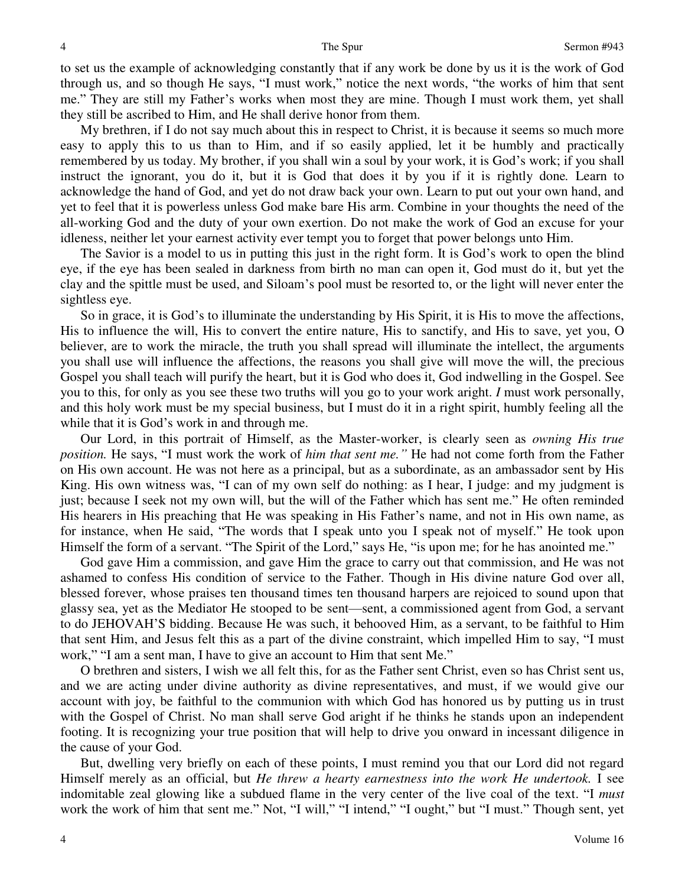to set us the example of acknowledging constantly that if any work be done by us it is the work of God through us, and so though He says, "I must work," notice the next words, "the works of him that sent me." They are still my Father's works when most they are mine. Though I must work them, yet shall they still be ascribed to Him, and He shall derive honor from them.

My brethren, if I do not say much about this in respect to Christ, it is because it seems so much more easy to apply this to us than to Him, and if so easily applied, let it be humbly and practically remembered by us today. My brother, if you shall win a soul by your work, it is God's work; if you shall instruct the ignorant, you do it, but it is God that does it by you if it is rightly done*.* Learn to acknowledge the hand of God, and yet do not draw back your own. Learn to put out your own hand, and yet to feel that it is powerless unless God make bare His arm. Combine in your thoughts the need of the all-working God and the duty of your own exertion. Do not make the work of God an excuse for your idleness, neither let your earnest activity ever tempt you to forget that power belongs unto Him.

The Savior is a model to us in putting this just in the right form. It is God's work to open the blind eye, if the eye has been sealed in darkness from birth no man can open it, God must do it, but yet the clay and the spittle must be used, and Siloam's pool must be resorted to, or the light will never enter the sightless eye.

So in grace, it is God's to illuminate the understanding by His Spirit, it is His to move the affections, His to influence the will, His to convert the entire nature, His to sanctify, and His to save, yet you, O believer, are to work the miracle, the truth you shall spread will illuminate the intellect, the arguments you shall use will influence the affections, the reasons you shall give will move the will, the precious Gospel you shall teach will purify the heart, but it is God who does it, God indwelling in the Gospel. See you to this, for only as you see these two truths will you go to your work aright. *I* must work personally, and this holy work must be my special business, but I must do it in a right spirit, humbly feeling all the while that it is God's work in and through me.

Our Lord, in this portrait of Himself, as the Master-worker, is clearly seen as *owning His true position.* He says, "I must work the work of *him that sent me."* He had not come forth from the Father on His own account. He was not here as a principal, but as a subordinate, as an ambassador sent by His King. His own witness was, "I can of my own self do nothing: as I hear, I judge: and my judgment is just; because I seek not my own will, but the will of the Father which has sent me." He often reminded His hearers in His preaching that He was speaking in His Father's name, and not in His own name, as for instance, when He said, "The words that I speak unto you I speak not of myself." He took upon Himself the form of a servant. "The Spirit of the Lord," says He, "is upon me; for he has anointed me."

God gave Him a commission, and gave Him the grace to carry out that commission, and He was not ashamed to confess His condition of service to the Father. Though in His divine nature God over all, blessed forever, whose praises ten thousand times ten thousand harpers are rejoiced to sound upon that glassy sea, yet as the Mediator He stooped to be sent—sent, a commissioned agent from God, a servant to do JEHOVAH'S bidding. Because He was such, it behooved Him, as a servant, to be faithful to Him that sent Him, and Jesus felt this as a part of the divine constraint, which impelled Him to say, "I must work," "I am a sent man, I have to give an account to Him that sent Me."

O brethren and sisters, I wish we all felt this, for as the Father sent Christ, even so has Christ sent us, and we are acting under divine authority as divine representatives, and must, if we would give our account with joy, be faithful to the communion with which God has honored us by putting us in trust with the Gospel of Christ. No man shall serve God aright if he thinks he stands upon an independent footing. It is recognizing your true position that will help to drive you onward in incessant diligence in the cause of your God.

But, dwelling very briefly on each of these points, I must remind you that our Lord did not regard Himself merely as an official, but *He threw a hearty earnestness into the work He undertook.* I see indomitable zeal glowing like a subdued flame in the very center of the live coal of the text. "I *must* work the work of him that sent me." Not, "I will," "I intend," "I ought," but "I must." Though sent, yet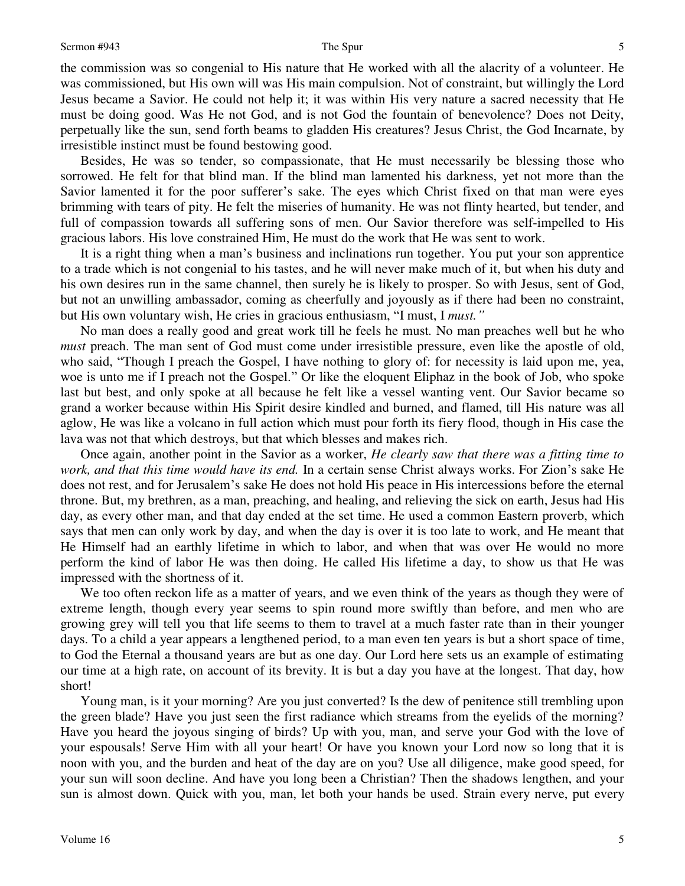the commission was so congenial to His nature that He worked with all the alacrity of a volunteer. He was commissioned, but His own will was His main compulsion. Not of constraint, but willingly the Lord Jesus became a Savior. He could not help it; it was within His very nature a sacred necessity that He must be doing good. Was He not God, and is not God the fountain of benevolence? Does not Deity, perpetually like the sun, send forth beams to gladden His creatures? Jesus Christ, the God Incarnate, by irresistible instinct must be found bestowing good.

Besides, He was so tender, so compassionate, that He must necessarily be blessing those who sorrowed. He felt for that blind man. If the blind man lamented his darkness, yet not more than the Savior lamented it for the poor sufferer's sake. The eyes which Christ fixed on that man were eyes brimming with tears of pity. He felt the miseries of humanity. He was not flinty hearted, but tender, and full of compassion towards all suffering sons of men. Our Savior therefore was self-impelled to His gracious labors. His love constrained Him, He must do the work that He was sent to work.

It is a right thing when a man's business and inclinations run together. You put your son apprentice to a trade which is not congenial to his tastes, and he will never make much of it, but when his duty and his own desires run in the same channel, then surely he is likely to prosper. So with Jesus, sent of God, but not an unwilling ambassador, coming as cheerfully and joyously as if there had been no constraint, but His own voluntary wish, He cries in gracious enthusiasm, "I must, I *must."*

No man does a really good and great work till he feels he must*.* No man preaches well but he who *must* preach. The man sent of God must come under irresistible pressure, even like the apostle of old, who said, "Though I preach the Gospel, I have nothing to glory of: for necessity is laid upon me, yea, woe is unto me if I preach not the Gospel." Or like the eloquent Eliphaz in the book of Job, who spoke last but best, and only spoke at all because he felt like a vessel wanting vent. Our Savior became so grand a worker because within His Spirit desire kindled and burned, and flamed, till His nature was all aglow, He was like a volcano in full action which must pour forth its fiery flood, though in His case the lava was not that which destroys, but that which blesses and makes rich.

Once again, another point in the Savior as a worker, *He clearly saw that there was a fitting time to work, and that this time would have its end.* In a certain sense Christ always works. For Zion's sake He does not rest, and for Jerusalem's sake He does not hold His peace in His intercessions before the eternal throne. But, my brethren, as a man, preaching, and healing, and relieving the sick on earth, Jesus had His day, as every other man, and that day ended at the set time. He used a common Eastern proverb, which says that men can only work by day, and when the day is over it is too late to work, and He meant that He Himself had an earthly lifetime in which to labor, and when that was over He would no more perform the kind of labor He was then doing. He called His lifetime a day, to show us that He was impressed with the shortness of it.

We too often reckon life as a matter of years, and we even think of the years as though they were of extreme length, though every year seems to spin round more swiftly than before, and men who are growing grey will tell you that life seems to them to travel at a much faster rate than in their younger days. To a child a year appears a lengthened period, to a man even ten years is but a short space of time, to God the Eternal a thousand years are but as one day. Our Lord here sets us an example of estimating our time at a high rate, on account of its brevity. It is but a day you have at the longest. That day, how short!

Young man, is it your morning? Are you just converted? Is the dew of penitence still trembling upon the green blade? Have you just seen the first radiance which streams from the eyelids of the morning? Have you heard the joyous singing of birds? Up with you, man, and serve your God with the love of your espousals! Serve Him with all your heart! Or have you known your Lord now so long that it is noon with you, and the burden and heat of the day are on you? Use all diligence, make good speed, for your sun will soon decline. And have you long been a Christian? Then the shadows lengthen, and your sun is almost down. Quick with you, man, let both your hands be used. Strain every nerve, put every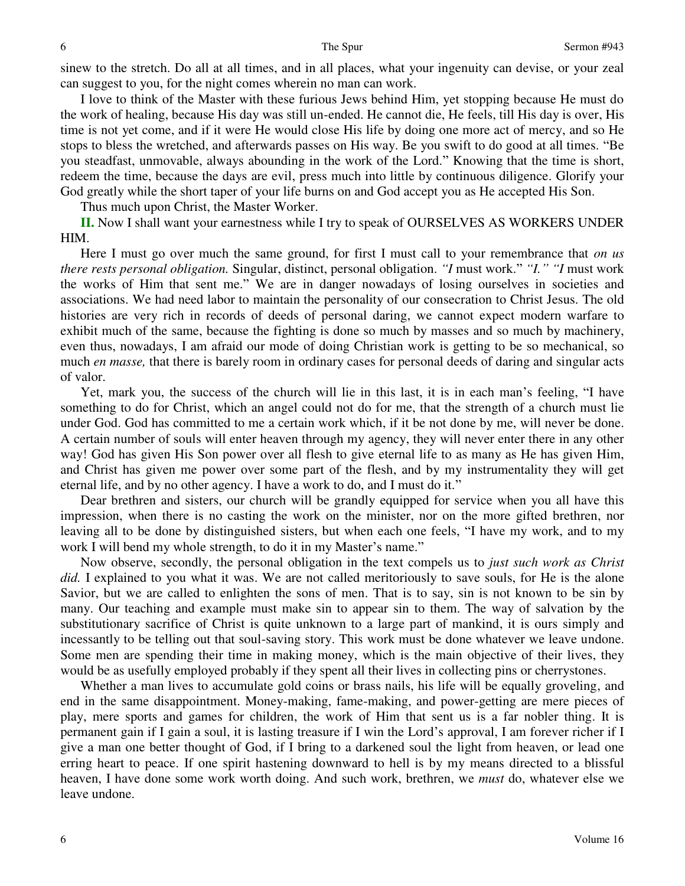sinew to the stretch. Do all at all times, and in all places, what your ingenuity can devise, or your zeal can suggest to you, for the night comes wherein no man can work.

I love to think of the Master with these furious Jews behind Him, yet stopping because He must do the work of healing, because His day was still un-ended. He cannot die, He feels, till His day is over, His time is not yet come, and if it were He would close His life by doing one more act of mercy, and so He stops to bless the wretched, and afterwards passes on His way. Be you swift to do good at all times. "Be you steadfast, unmovable, always abounding in the work of the Lord." Knowing that the time is short, redeem the time, because the days are evil, press much into little by continuous diligence. Glorify your God greatly while the short taper of your life burns on and God accept you as He accepted His Son.

Thus much upon Christ, the Master Worker.

**II.** Now I shall want your earnestness while I try to speak of OURSELVES AS WORKERS UNDER HIM.

Here I must go over much the same ground, for first I must call to your remembrance that *on us there rests personal obligation.* Singular, distinct, personal obligation. *"I* must work." *"I." "I* must work the works of Him that sent me." We are in danger nowadays of losing ourselves in societies and associations. We had need labor to maintain the personality of our consecration to Christ Jesus. The old histories are very rich in records of deeds of personal daring, we cannot expect modern warfare to exhibit much of the same, because the fighting is done so much by masses and so much by machinery, even thus, nowadays, I am afraid our mode of doing Christian work is getting to be so mechanical, so much *en masse,* that there is barely room in ordinary cases for personal deeds of daring and singular acts of valor.

Yet, mark you, the success of the church will lie in this last, it is in each man's feeling, "I have something to do for Christ, which an angel could not do for me, that the strength of a church must lie under God. God has committed to me a certain work which, if it be not done by me, will never be done. A certain number of souls will enter heaven through my agency, they will never enter there in any other way! God has given His Son power over all flesh to give eternal life to as many as He has given Him, and Christ has given me power over some part of the flesh, and by my instrumentality they will get eternal life, and by no other agency. I have a work to do, and I must do it."

Dear brethren and sisters, our church will be grandly equipped for service when you all have this impression, when there is no casting the work on the minister, nor on the more gifted brethren, nor leaving all to be done by distinguished sisters, but when each one feels, "I have my work, and to my work I will bend my whole strength, to do it in my Master's name."

Now observe, secondly, the personal obligation in the text compels us to *just such work as Christ did.* I explained to you what it was. We are not called meritoriously to save souls, for He is the alone Savior, but we are called to enlighten the sons of men. That is to say, sin is not known to be sin by many. Our teaching and example must make sin to appear sin to them. The way of salvation by the substitutionary sacrifice of Christ is quite unknown to a large part of mankind, it is ours simply and incessantly to be telling out that soul-saving story. This work must be done whatever we leave undone. Some men are spending their time in making money, which is the main objective of their lives, they would be as usefully employed probably if they spent all their lives in collecting pins or cherrystones.

Whether a man lives to accumulate gold coins or brass nails, his life will be equally groveling, and end in the same disappointment. Money-making, fame-making, and power-getting are mere pieces of play, mere sports and games for children, the work of Him that sent us is a far nobler thing. It is permanent gain if I gain a soul, it is lasting treasure if I win the Lord's approval, I am forever richer if I give a man one better thought of God, if I bring to a darkened soul the light from heaven, or lead one erring heart to peace. If one spirit hastening downward to hell is by my means directed to a blissful heaven, I have done some work worth doing. And such work, brethren, we *must* do, whatever else we leave undone.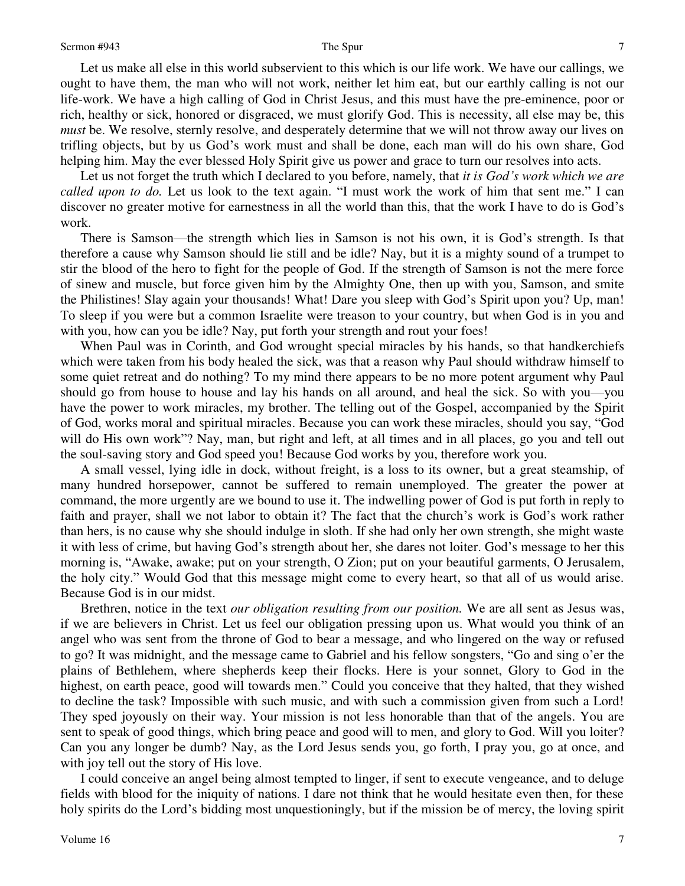Let us make all else in this world subservient to this which is our life work. We have our callings, we ought to have them, the man who will not work, neither let him eat, but our earthly calling is not our life-work. We have a high calling of God in Christ Jesus, and this must have the pre-eminence, poor or rich, healthy or sick, honored or disgraced, we must glorify God. This is necessity, all else may be, this *must* be. We resolve, sternly resolve, and desperately determine that we will not throw away our lives on trifling objects, but by us God's work must and shall be done, each man will do his own share, God helping him. May the ever blessed Holy Spirit give us power and grace to turn our resolves into acts.

Let us not forget the truth which I declared to you before, namely, that *it is God's work which we are called upon to do.* Let us look to the text again. "I must work the work of him that sent me." I can discover no greater motive for earnestness in all the world than this, that the work I have to do is God's work.

There is Samson—the strength which lies in Samson is not his own, it is God's strength. Is that therefore a cause why Samson should lie still and be idle? Nay, but it is a mighty sound of a trumpet to stir the blood of the hero to fight for the people of God. If the strength of Samson is not the mere force of sinew and muscle, but force given him by the Almighty One, then up with you, Samson, and smite the Philistines! Slay again your thousands! What! Dare you sleep with God's Spirit upon you? Up, man! To sleep if you were but a common Israelite were treason to your country, but when God is in you and with you, how can you be idle? Nay, put forth your strength and rout your foes!

When Paul was in Corinth, and God wrought special miracles by his hands, so that handkerchiefs which were taken from his body healed the sick, was that a reason why Paul should withdraw himself to some quiet retreat and do nothing? To my mind there appears to be no more potent argument why Paul should go from house to house and lay his hands on all around, and heal the sick. So with you—you have the power to work miracles, my brother. The telling out of the Gospel, accompanied by the Spirit of God, works moral and spiritual miracles. Because you can work these miracles, should you say, "God will do His own work"? Nay, man, but right and left, at all times and in all places, go you and tell out the soul-saving story and God speed you! Because God works by you, therefore work you.

A small vessel, lying idle in dock, without freight, is a loss to its owner, but a great steamship, of many hundred horsepower, cannot be suffered to remain unemployed. The greater the power at command, the more urgently are we bound to use it. The indwelling power of God is put forth in reply to faith and prayer, shall we not labor to obtain it? The fact that the church's work is God's work rather than hers, is no cause why she should indulge in sloth. If she had only her own strength, she might waste it with less of crime, but having God's strength about her, she dares not loiter. God's message to her this morning is, "Awake, awake; put on your strength, O Zion; put on your beautiful garments, O Jerusalem, the holy city." Would God that this message might come to every heart, so that all of us would arise. Because God is in our midst.

Brethren, notice in the text *our obligation resulting from our position.* We are all sent as Jesus was, if we are believers in Christ. Let us feel our obligation pressing upon us. What would you think of an angel who was sent from the throne of God to bear a message, and who lingered on the way or refused to go? It was midnight, and the message came to Gabriel and his fellow songsters, "Go and sing o'er the plains of Bethlehem, where shepherds keep their flocks. Here is your sonnet, Glory to God in the highest, on earth peace, good will towards men." Could you conceive that they halted, that they wished to decline the task? Impossible with such music, and with such a commission given from such a Lord! They sped joyously on their way. Your mission is not less honorable than that of the angels. You are sent to speak of good things, which bring peace and good will to men, and glory to God. Will you loiter? Can you any longer be dumb? Nay, as the Lord Jesus sends you, go forth, I pray you, go at once, and with joy tell out the story of His love.

I could conceive an angel being almost tempted to linger, if sent to execute vengeance, and to deluge fields with blood for the iniquity of nations. I dare not think that he would hesitate even then, for these holy spirits do the Lord's bidding most unquestioningly, but if the mission be of mercy, the loving spirit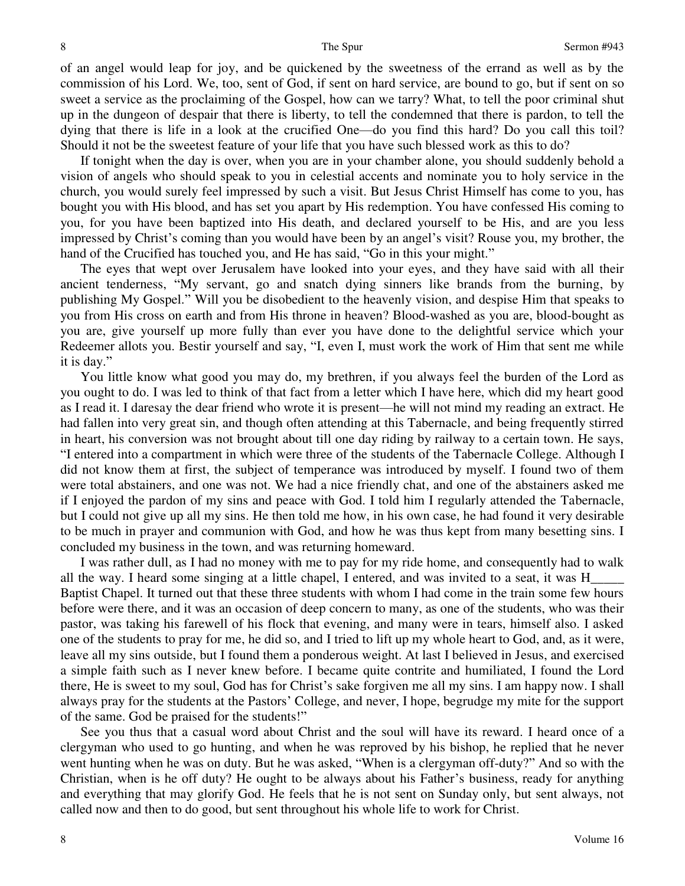of an angel would leap for joy, and be quickened by the sweetness of the errand as well as by the commission of his Lord. We, too, sent of God, if sent on hard service, are bound to go, but if sent on so sweet a service as the proclaiming of the Gospel, how can we tarry? What, to tell the poor criminal shut up in the dungeon of despair that there is liberty, to tell the condemned that there is pardon, to tell the dying that there is life in a look at the crucified One—do you find this hard? Do you call this toil? Should it not be the sweetest feature of your life that you have such blessed work as this to do?

If tonight when the day is over, when you are in your chamber alone, you should suddenly behold a vision of angels who should speak to you in celestial accents and nominate you to holy service in the church, you would surely feel impressed by such a visit. But Jesus Christ Himself has come to you, has bought you with His blood, and has set you apart by His redemption. You have confessed His coming to you, for you have been baptized into His death, and declared yourself to be His, and are you less impressed by Christ's coming than you would have been by an angel's visit? Rouse you, my brother, the hand of the Crucified has touched you, and He has said, "Go in this your might."

The eyes that wept over Jerusalem have looked into your eyes, and they have said with all their ancient tenderness, "My servant, go and snatch dying sinners like brands from the burning, by publishing My Gospel." Will you be disobedient to the heavenly vision, and despise Him that speaks to you from His cross on earth and from His throne in heaven? Blood-washed as you are, blood-bought as you are, give yourself up more fully than ever you have done to the delightful service which your Redeemer allots you. Bestir yourself and say, "I, even I, must work the work of Him that sent me while it is day."

You little know what good you may do, my brethren, if you always feel the burden of the Lord as you ought to do. I was led to think of that fact from a letter which I have here, which did my heart good as I read it. I daresay the dear friend who wrote it is present—he will not mind my reading an extract. He had fallen into very great sin, and though often attending at this Tabernacle, and being frequently stirred in heart, his conversion was not brought about till one day riding by railway to a certain town. He says, "I entered into a compartment in which were three of the students of the Tabernacle College. Although I did not know them at first, the subject of temperance was introduced by myself. I found two of them were total abstainers, and one was not. We had a nice friendly chat, and one of the abstainers asked me if I enjoyed the pardon of my sins and peace with God. I told him I regularly attended the Tabernacle, but I could not give up all my sins. He then told me how, in his own case, he had found it very desirable to be much in prayer and communion with God, and how he was thus kept from many besetting sins. I concluded my business in the town, and was returning homeward.

I was rather dull, as I had no money with me to pay for my ride home, and consequently had to walk all the way. I heard some singing at a little chapel, I entered, and was invited to a seat, it was H\_ Baptist Chapel. It turned out that these three students with whom I had come in the train some few hours before were there, and it was an occasion of deep concern to many, as one of the students, who was their pastor, was taking his farewell of his flock that evening, and many were in tears, himself also. I asked one of the students to pray for me, he did so, and I tried to lift up my whole heart to God, and, as it were, leave all my sins outside, but I found them a ponderous weight. At last I believed in Jesus, and exercised a simple faith such as I never knew before. I became quite contrite and humiliated, I found the Lord there, He is sweet to my soul, God has for Christ's sake forgiven me all my sins. I am happy now. I shall always pray for the students at the Pastors' College, and never, I hope, begrudge my mite for the support of the same. God be praised for the students!"

See you thus that a casual word about Christ and the soul will have its reward. I heard once of a clergyman who used to go hunting, and when he was reproved by his bishop, he replied that he never went hunting when he was on duty. But he was asked, "When is a clergyman off-duty?" And so with the Christian, when is he off duty? He ought to be always about his Father's business, ready for anything and everything that may glorify God. He feels that he is not sent on Sunday only, but sent always, not called now and then to do good, but sent throughout his whole life to work for Christ.